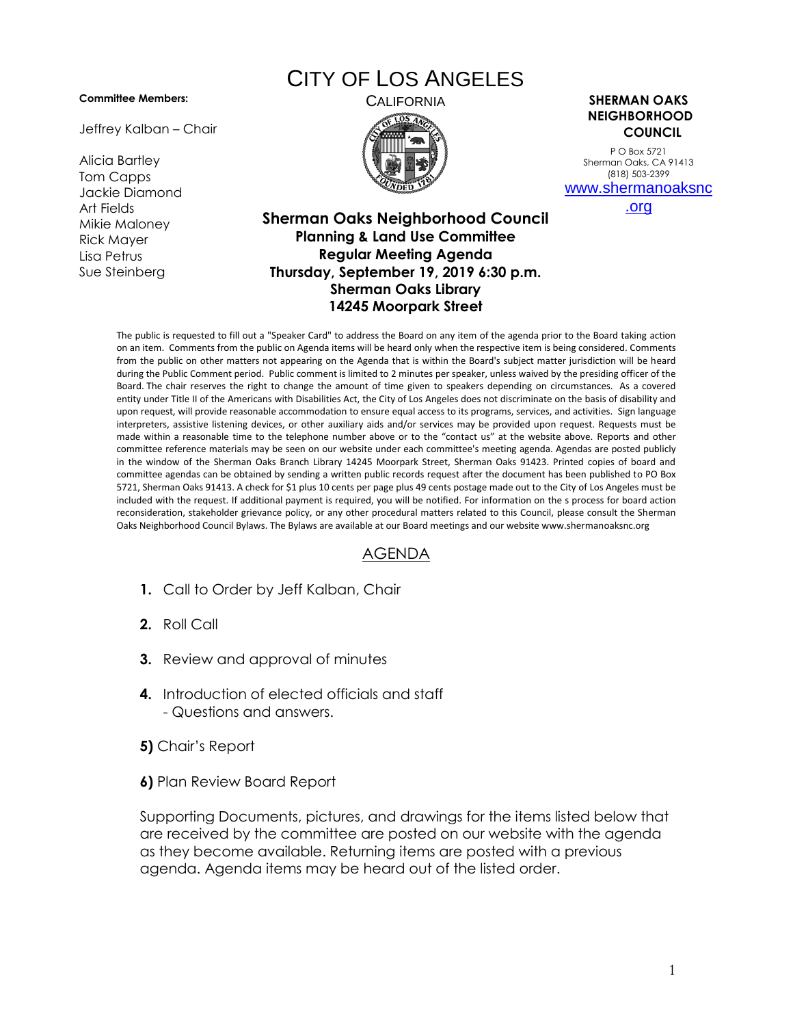**Committee Members:**

Jeffrey Kalban – Chair

Alicia Bartley Tom Capps Jackie Diamond Art Fields Mikie Maloney Rick Mayer Lisa Petrus Sue Steinberg

## CITY OF LOS ANGELES



CALIFORNIA **SHERMAN OAKS NEIGHBORHOOD COUNCIL**

> P O Box 5721 Sherman Oaks, CA 91413 (818) 503-2399 [www.shermanoaksnc](http://www.shermanoaksnc.org/)

[.org](http://www.shermanoaksnc.org/)

## **Sherman Oaks Neighborhood Council Planning & Land Use Committee Regular Meeting Agenda Thursday, September 19, 2019 6:30 p.m. Sherman Oaks Library 14245 Moorpark Street**

The public is requested to fill out a "Speaker Card" to address the Board on any item of the agenda prior to the Board taking action on an item. Comments from the public on Agenda items will be heard only when the respective item is being considered. Comments from the public on other matters not appearing on the Agenda that is within the Board's subject matter jurisdiction will be heard during the Public Comment period. Public comment is limited to 2 minutes per speaker, unless waived by the presiding officer of the Board. The chair reserves the right to change the amount of time given to speakers depending on circumstances. As a covered entity under Title II of the Americans with Disabilities Act, the City of Los Angeles does not discriminate on the basis of disability and upon request, will provide reasonable accommodation to ensure equal access to its programs, services, and activities. Sign language interpreters, assistive listening devices, or other auxiliary aids and/or services may be provided upon request. Requests must be made within a reasonable time to the telephone number above or to the "contact us" at the website above. Reports and other committee reference materials may be seen on our website under each committee's meeting agenda. Agendas are posted publicly in the window of the Sherman Oaks Branch Library 14245 Moorpark Street, Sherman Oaks 91423. Printed copies of board and committee agendas can be obtained by sending a written public records request after the document has been published to PO Box 5721, Sherman Oaks 91413. A check for \$1 plus 10 cents per page plus 49 cents postage made out to the City of Los Angeles must be included with the request. If additional payment is required, you will be notified. For information on the s process for board action reconsideration, stakeholder grievance policy, or any other procedural matters related to this Council, please consult the Sherman Oaks Neighborhood Council Bylaws. The Bylaws are available at our Board meetings and our website www.shermanoaksnc.org

## AGENDA

- **1.** Call to Order by Jeff Kalban, Chair
- **2.** Roll Call
- **3.** Review and approval of minutes
- **4.** Introduction of elected officials and staff - Questions and answers.
- **5)** Chair's Report
- **6)** Plan Review Board Report

Supporting Documents, pictures, and drawings for the items listed below that are received by the committee are posted on our website with the agenda as they become available. Returning items are posted with a previous agenda. Agenda items may be heard out of the listed order.